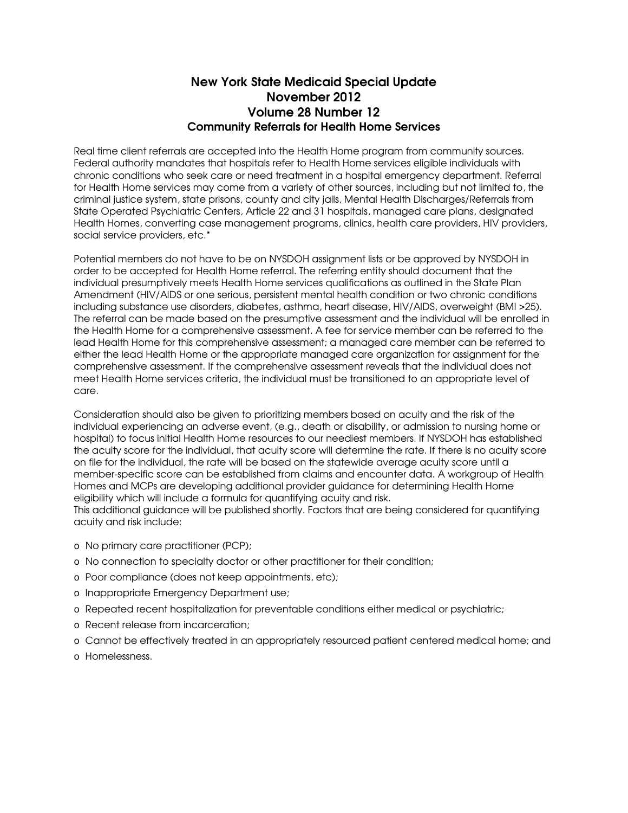## New York State Medicaid Special Update November 2012 Volume 28 Number 12 Community Referrals for Health Home Services

Real time client referrals are accepted into the Health Home program from community sources. Federal authority mandates that hospitals refer to Health Home services eligible individuals with chronic conditions who seek care or need treatment in a hospital emergency department. Referral for Health Home services may come from a variety of other sources, including but not limited to, the criminal justice system, state prisons, county and city jails, Mental Health Discharges/Referrals from State Operated Psychiatric Centers, Article 22 and 31 hospitals, managed care plans, designated Health Homes, converting case management programs, clinics, health care providers, HIV providers, social service providers, etc.\*

Potential members do not have to be on NYSDOH assignment lists or be approved by NYSDOH in order to be accepted for Health Home referral. The referring entity should document that the individual presumptively meets Health Home services qualifications as outlined in the State Plan Amendment (HIV/AIDS or one serious, persistent mental health condition or two chronic conditions including substance use disorders, diabetes, asthma, heart disease, HIV/AIDS, overweight (BMI >25). The referral can be made based on the presumptive assessment and the individual will be enrolled in the Health Home for a comprehensive assessment. A fee for service member can be referred to the lead Health Home for this comprehensive assessment; a managed care member can be referred to either the lead Health Home or the appropriate managed care organization for assignment for the comprehensive assessment. If the comprehensive assessment reveals that the individual does not meet Health Home services criteria, the individual must be transitioned to an appropriate level of care.

Consideration should also be given to prioritizing members based on acuity and the risk of the individual experiencing an adverse event, (e.g., death or disability, or admission to nursing home or hospital) to focus initial Health Home resources to our neediest members. If NYSDOH has established the acuity score for the individual, that acuity score will determine the rate. If there is no acuity score on file for the individual, the rate will be based on the statewide average acuity score until a member-specific score can be established from claims and encounter data. A workgroup of Health Homes and MCPs are developing additional provider guidance for determining Health Home eligibility which will include a formula for quantifying acuity and risk.

This additional guidance will be published shortly. Factors that are being considered for quantifying acuity and risk include:

- o No primary care practitioner (PCP);
- o No connection to specialty doctor or other practitioner for their condition;
- o Poor compliance (does not keep appointments, etc);
- o Inappropriate Emergency Department use;
- o Repeated recent hospitalization for preventable conditions either medical or psychiatric;
- o Recent release from incarceration;
- o Cannot be effectively treated in an appropriately resourced patient centered medical home; and
- o Homelessness.